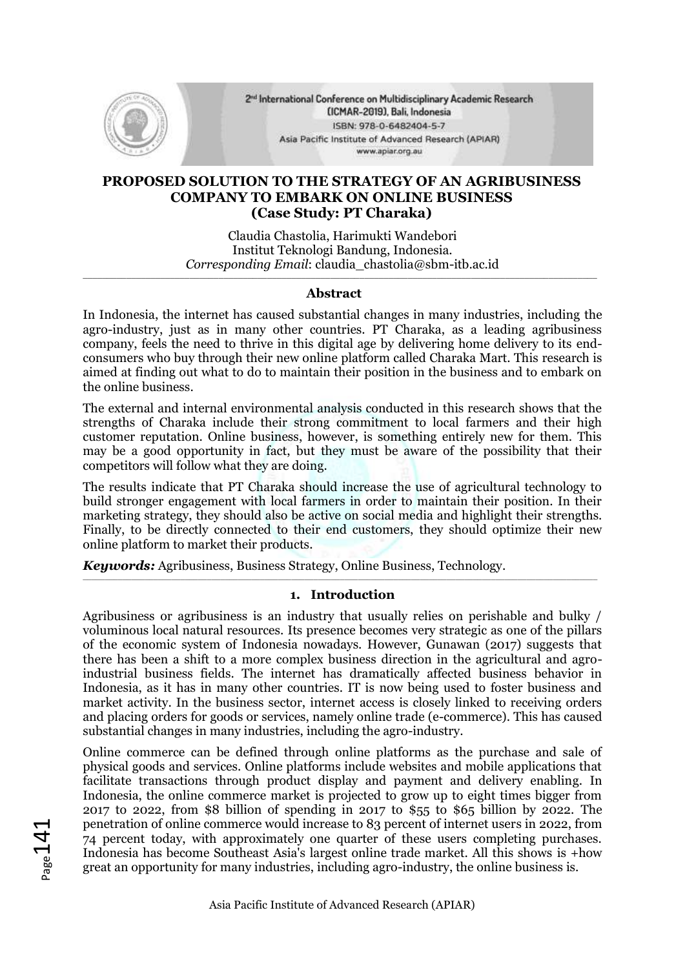

2<sup>nd</sup> International Conference on Multidisciplinary Academic Research (ICMAR-2019), Bali, Indonesia ISBN: 978-0-6482404-5-7 Asia Pacific Institute of Advanced Research (APIAR) www.apiar.org.au

### **PROPOSED SOLUTION TO THE STRATEGY OF AN AGRIBUSINESS COMPANY TO EMBARK ON ONLINE BUSINESS (Case Study: PT Charaka)**

Claudia Chastolia, Harimukti Wandebori Institut Teknologi Bandung, Indonesia. *Corresponding Email*: claudia\_chastolia@sbm-itb.ac.id

#### **\_\_\_\_\_\_\_\_\_\_\_\_\_\_\_\_\_\_\_\_\_\_\_\_\_\_\_\_\_\_\_\_\_\_\_\_\_\_\_\_\_\_\_\_\_\_\_\_\_\_\_\_\_\_\_\_\_\_\_\_\_\_\_\_\_\_\_\_\_\_\_\_\_\_\_\_\_\_\_\_\_\_\_\_\_\_\_\_\_\_\_\_\_\_\_\_\_\_\_\_\_\_\_\_\_\_ Abstract**

In Indonesia, the internet has caused substantial changes in many industries, including the agro-industry, just as in many other countries. PT Charaka, as a leading agribusiness company, feels the need to thrive in this digital age by delivering home delivery to its endconsumers who buy through their new online platform called Charaka Mart. This research is aimed at finding out what to do to maintain their position in the business and to embark on the online business.

The external and internal environmental analysis conducted in this research shows that the strengths of Charaka include their strong commitment to local farmers and their high customer reputation. Online business, however, is something entirely new for them. This may be a good opportunity in fact, but they must be aware of the possibility that their competitors will follow what they are doing.

The results indicate that PT Charaka should increase the use of agricultural technology to build stronger engagement with local farmers in order to maintain their position. In their marketing strategy, they should also be active on social media and highlight their strengths. Finally, to be directly connected to their end customers, they should optimize their new online platform to market their products.

*Keywords:* Agribusiness, Business Strategy, Online Business, Technology.

#### $\_$  , and the set of the set of the set of the set of the set of the set of the set of the set of the set of the set of the set of the set of the set of the set of the set of the set of the set of the set of the set of th **1. Introduction**

Agribusiness or agribusiness is an industry that usually relies on perishable and bulky / voluminous local natural resources. Its presence becomes very strategic as one of the pillars of the economic system of Indonesia nowadays. However, Gunawan (2017) suggests that there has been a shift to a more complex business direction in the agricultural and agroindustrial business fields. The internet has dramatically affected business behavior in Indonesia, as it has in many other countries. IT is now being used to foster business and market activity. In the business sector, internet access is closely linked to receiving orders and placing orders for goods or services, namely online trade (e-commerce). This has caused substantial changes in many industries, including the agro-industry.

Online commerce can be defined through online platforms as the purchase and sale of physical goods and services. Online platforms include websites and mobile applications that facilitate transactions through product display and payment and delivery enabling. In Indonesia, the online commerce market is projected to grow up to eight times bigger from 2017 to 2022, from \$8 billion of spending in 2017 to \$55 to \$65 billion by 2022. The penetration of online commerce would increase to 83 percent of internet users in 2022, from 74 percent today, with approximately one quarter of these users completing purchases. Indonesia has become Southeast Asia's largest online trade market. All this shows is +how great an opportunity for many industries, including agro-industry, the online business is.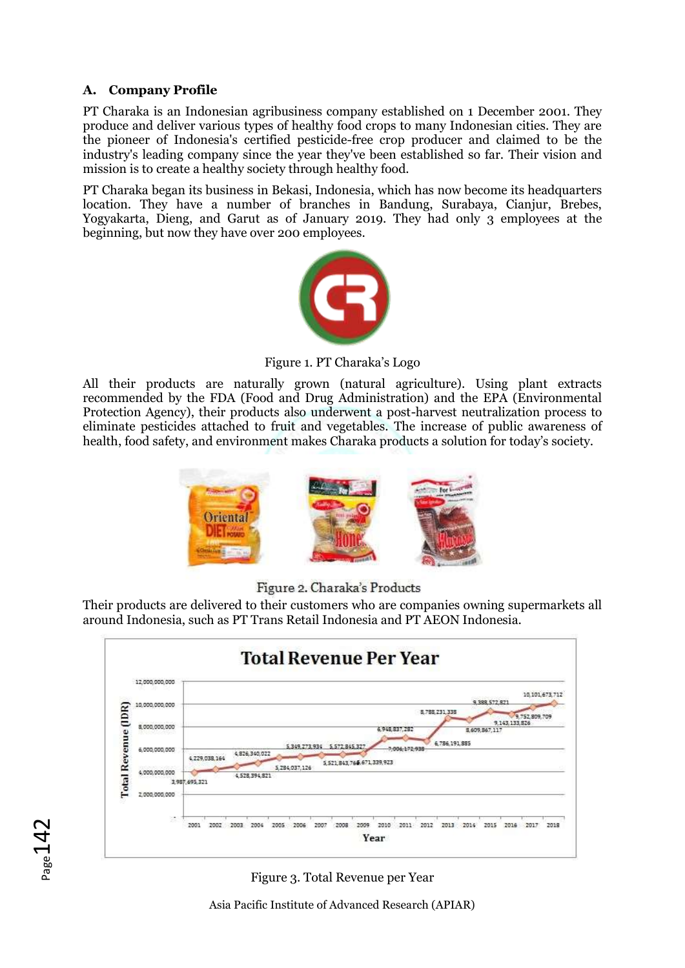# **A. Company Profile**

 $_{\rm ^{page}142}$ 

PT Charaka is an Indonesian agribusiness company established on 1 December 2001. They produce and deliver various types of healthy food crops to many Indonesian cities. They are the pioneer of Indonesia's certified pesticide-free crop producer and claimed to be the industry's leading company since the year they've been established so far. Their vision and mission is to create a healthy society through healthy food.

PT Charaka began its business in Bekasi, Indonesia, which has now become its headquarters location. They have a number of branches in Bandung, Surabaya, Cianjur, Brebes, Yogyakarta, Dieng, and Garut as of January 2019. They had only 3 employees at the beginning, but now they have over 200 employees.



Figure 1. PT Charaka's Logo

All their products are naturally grown (natural agriculture). Using plant extracts recommended by the FDA (Food and Drug Administration) and the EPA (Environmental Protection Agency), their products also underwent a post-harvest neutralization process to eliminate pesticides attached to fruit and vegetables. The increase of public awareness of health, food safety, and environment makes Charaka products a solution for today's society.



Figure 2. Charaka's Products

Their products are delivered to their customers who are companies owning supermarkets all around Indonesia, such as PT Trans Retail Indonesia and PT AEON Indonesia.



Figure 3. Total Revenue per Year

Asia Pacific Institute of Advanced Research (APIAR)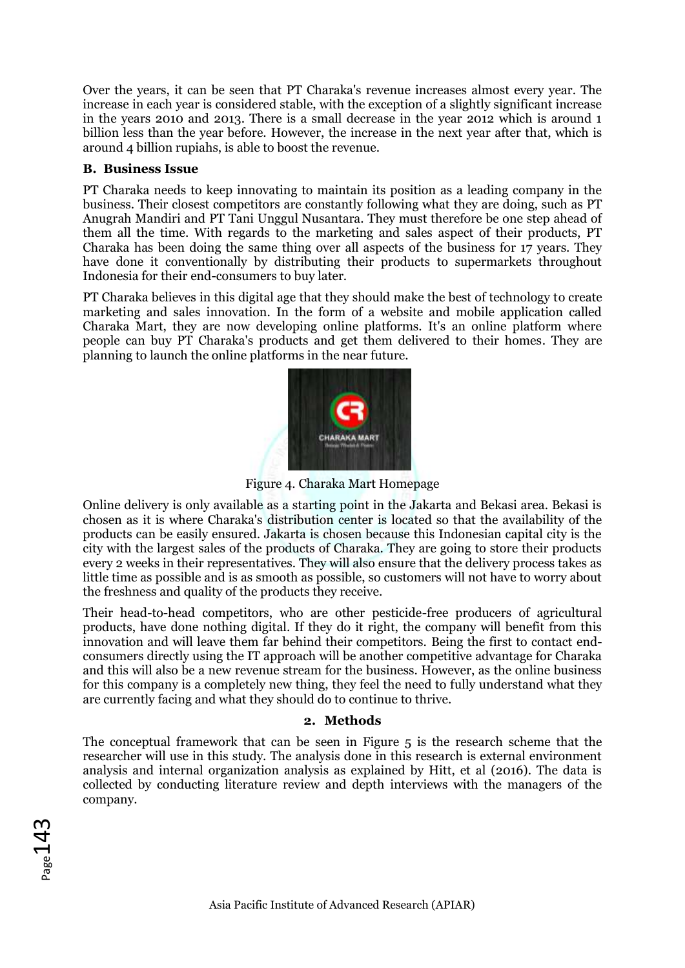Over the years, it can be seen that PT Charaka's revenue increases almost every year. The increase in each year is considered stable, with the exception of a slightly significant increase in the years 2010 and 2013. There is a small decrease in the year 2012 which is around 1 billion less than the year before. However, the increase in the next year after that, which is around 4 billion rupiahs, is able to boost the revenue.

### **B. Business Issue**

PT Charaka needs to keep innovating to maintain its position as a leading company in the business. Their closest competitors are constantly following what they are doing, such as PT Anugrah Mandiri and PT Tani Unggul Nusantara. They must therefore be one step ahead of them all the time. With regards to the marketing and sales aspect of their products, PT Charaka has been doing the same thing over all aspects of the business for 17 years. They have done it conventionally by distributing their products to supermarkets throughout Indonesia for their end-consumers to buy later.

PT Charaka believes in this digital age that they should make the best of technology to create marketing and sales innovation. In the form of a website and mobile application called Charaka Mart, they are now developing online platforms. It's an online platform where people can buy PT Charaka's products and get them delivered to their homes. They are planning to launch the online platforms in the near future.



Figure 4. Charaka Mart Homepage

Online delivery is only available as a starting point in the Jakarta and Bekasi area. Bekasi is chosen as it is where Charaka's distribution center is located so that the availability of the products can be easily ensured. Jakarta is chosen because this Indonesian capital city is the city with the largest sales of the products of Charaka. They are going to store their products every 2 weeks in their representatives. They will also ensure that the delivery process takes as little time as possible and is as smooth as possible, so customers will not have to worry about the freshness and quality of the products they receive.

Their head-to-head competitors, who are other pesticide-free producers of agricultural products, have done nothing digital. If they do it right, the company will benefit from this innovation and will leave them far behind their competitors. Being the first to contact endconsumers directly using the IT approach will be another competitive advantage for Charaka and this will also be a new revenue stream for the business. However, as the online business for this company is a completely new thing, they feel the need to fully understand what they are currently facing and what they should do to continue to thrive.

# **2. Methods**

The conceptual framework that can be seen in Figure 5 is the research scheme that the researcher will use in this study. The analysis done in this research is external environment analysis and internal organization analysis as explained by Hitt, et al (2016). The data is collected by conducting literature review and depth interviews with the managers of the company.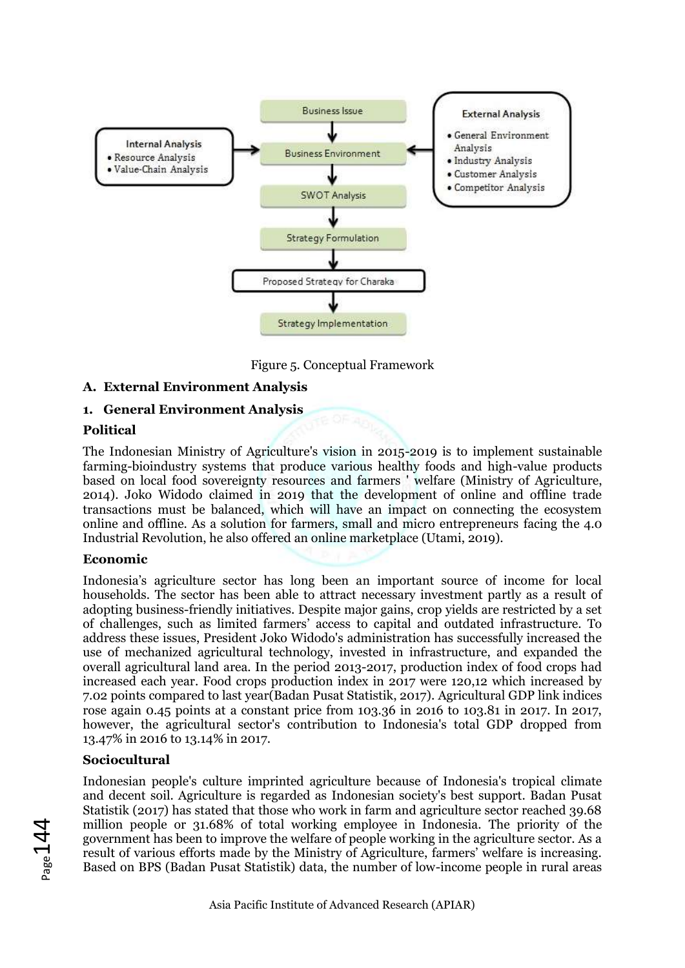

Figure 5. Conceptual Framework

# **A. External Environment Analysis**

# **1. General Environment Analysis**

# **Political**

The Indonesian Ministry of Agriculture's vision in 2015-2019 is to implement sustainable farming-bioindustry systems that produce various healthy foods and high-value products based on local food sovereignty resources and farmers ' welfare (Ministry of Agriculture, 2014). Joko Widodo claimed in 2019 that the development of online and offline trade transactions must be balanced, which will have an impact on connecting the ecosystem online and offline. As a solution for farmers, small and micro entrepreneurs facing the 4.0 Industrial Revolution, he also offered an online marketplace (Utami, 2019).

### **Economic**

Indonesia's agriculture sector has long been an important source of income for local households. The sector has been able to attract necessary investment partly as a result of adopting business-friendly initiatives. Despite major gains, crop yields are restricted by a set of challenges, such as limited farmers' access to capital and outdated infrastructure. To address these issues, President Joko Widodo's administration has successfully increased the use of mechanized agricultural technology, invested in infrastructure, and expanded the overall agricultural land area. In the period 2013-2017, production index of food crops had increased each year. Food crops production index in 2017 were 120,12 which increased by 7.02 points compared to last year(Badan Pusat Statistik, 2017). Agricultural GDP link indices rose again 0.45 points at a constant price from 103.36 in 2016 to 103.81 in 2017. In 2017, however, the agricultural sector's contribution to Indonesia's total GDP dropped from 13.47% in 2016 to 13.14% in 2017.

### **Sociocultural**

Indonesian people's culture imprinted agriculture because of Indonesia's tropical climate and decent soil. Agriculture is regarded as Indonesian society's best support. Badan Pusat Statistik (2017) has stated that those who work in farm and agriculture sector reached 39.68 million people or 31.68% of total working employee in Indonesia. The priority of the government has been to improve the welfare of people working in the agriculture sector. As a result of various efforts made by the Ministry of Agriculture, farmers' welfare is increasing. Based on BPS (Badan Pusat Statistik) data, the number of low-income people in rural areas

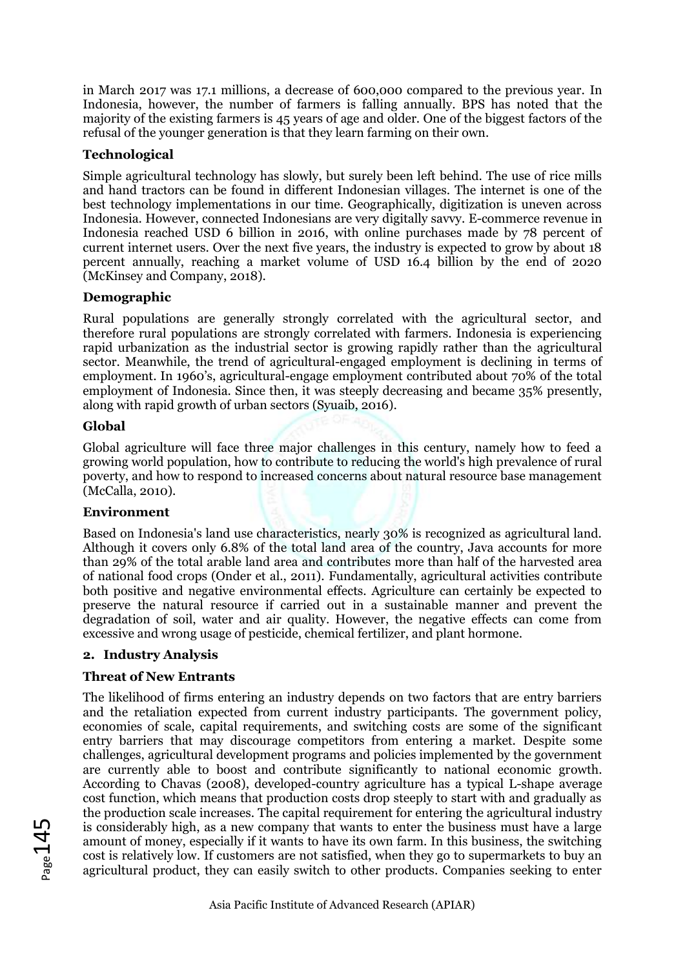in March 2017 was 17.1 millions, a decrease of 600,000 compared to the previous year. In Indonesia, however, the number of farmers is falling annually. BPS has noted that the majority of the existing farmers is 45 years of age and older. One of the biggest factors of the refusal of the younger generation is that they learn farming on their own.

# **Technological**

Simple agricultural technology has slowly, but surely been left behind. The use of rice mills and hand tractors can be found in different Indonesian villages. The internet is one of the best technology implementations in our time. Geographically, digitization is uneven across Indonesia. However, connected Indonesians are very digitally savvy. E-commerce revenue in Indonesia reached USD 6 billion in 2016, with online purchases made by 78 percent of current internet users. Over the next five years, the industry is expected to grow by about 18 percent annually, reaching a market volume of USD 16.4 billion by the end of 2020 (McKinsey and Company, 2018).

### **Demographic**

Rural populations are generally strongly correlated with the agricultural sector, and therefore rural populations are strongly correlated with farmers. Indonesia is experiencing rapid urbanization as the industrial sector is growing rapidly rather than the agricultural sector. Meanwhile, the trend of agricultural-engaged employment is declining in terms of employment. In 1960's, agricultural-engage employment contributed about 70% of the total employment of Indonesia. Since then, it was steeply decreasing and became 35% presently, along with rapid growth of urban sectors (Syuaib, 2016).

# **Global**

Global agriculture will face three major challenges in this century, namely how to feed a growing world population, how to contribute to reducing the world's high prevalence of rural poverty, and how to respond to increased concerns about natural resource base management (McCalla, 2010).

### **Environment**

Based on Indonesia's land use characteristics, nearly 30% is recognized as agricultural land. Although it covers only 6.8% of the total land area of the country, Java accounts for more than 29% of the total arable land area and contributes more than half of the harvested area of national food crops (Onder et al., 2011). Fundamentally, agricultural activities contribute both positive and negative environmental effects. Agriculture can certainly be expected to preserve the natural resource if carried out in a sustainable manner and prevent the degradation of soil, water and air quality. However, the negative effects can come from excessive and wrong usage of pesticide, chemical fertilizer, and plant hormone.

### **2. Industry Analysis**

### **Threat of New Entrants**

The likelihood of firms entering an industry depends on two factors that are entry barriers and the retaliation expected from current industry participants. The government policy, economies of scale, capital requirements, and switching costs are some of the significant entry barriers that may discourage competitors from entering a market. Despite some challenges, agricultural development programs and policies implemented by the government are currently able to boost and contribute significantly to national economic growth. According to Chavas (2008), developed-country agriculture has a typical L-shape average cost function, which means that production costs drop steeply to start with and gradually as the production scale increases. The capital requirement for entering the agricultural industry is considerably high, as a new company that wants to enter the business must have a large amount of money, especially if it wants to have its own farm. In this business, the switching cost is relatively low. If customers are not satisfied, when they go to supermarkets to buy an agricultural product, they can easily switch to other products. Companies seeking to enter

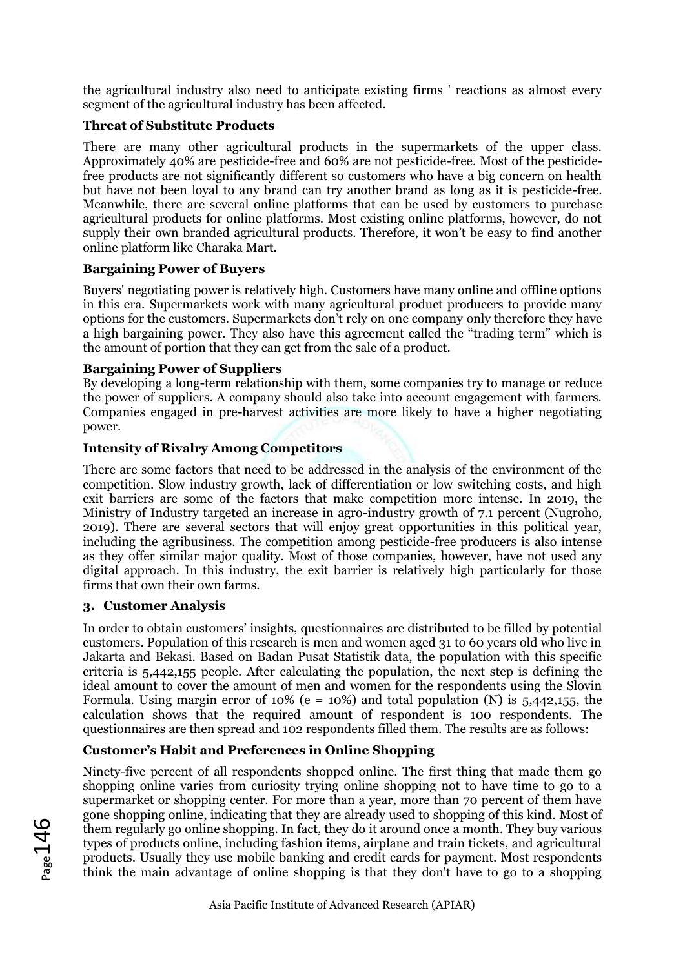the agricultural industry also need to anticipate existing firms ' reactions as almost every segment of the agricultural industry has been affected.

# **Threat of Substitute Products**

There are many other agricultural products in the supermarkets of the upper class. Approximately 40% are pesticide-free and 60% are not pesticide-free. Most of the pesticidefree products are not significantly different so customers who have a big concern on health but have not been loyal to any brand can try another brand as long as it is pesticide-free. Meanwhile, there are several online platforms that can be used by customers to purchase agricultural products for online platforms. Most existing online platforms, however, do not supply their own branded agricultural products. Therefore, it won't be easy to find another online platform like Charaka Mart.

### **Bargaining Power of Buyers**

Buyers' negotiating power is relatively high. Customers have many online and offline options in this era. Supermarkets work with many agricultural product producers to provide many options for the customers. Supermarkets don't rely on one company only therefore they have a high bargaining power. They also have this agreement called the "trading term" which is the amount of portion that they can get from the sale of a product.

# **Bargaining Power of Suppliers**

By developing a long-term relationship with them, some companies try to manage or reduce the power of suppliers. A company should also take into account engagement with farmers. Companies engaged in pre-harvest activities are more likely to have a higher negotiating power.

# **Intensity of Rivalry Among Competitors**

There are some factors that need to be addressed in the analysis of the environment of the competition. Slow industry growth, lack of differentiation or low switching costs, and high exit barriers are some of the factors that make competition more intense. In 2019, the Ministry of Industry targeted an increase in agro-industry growth of 7.1 percent (Nugroho, 2019). There are several sectors that will enjoy great opportunities in this political year, including the agribusiness. The competition among pesticide-free producers is also intense as they offer similar major quality. Most of those companies, however, have not used any digital approach. In this industry, the exit barrier is relatively high particularly for those firms that own their own farms.

### **3. Customer Analysis**

In order to obtain customers' insights, questionnaires are distributed to be filled by potential customers. Population of this research is men and women aged 31 to 60 years old who live in Jakarta and Bekasi. Based on Badan Pusat Statistik data, the population with this specific criteria is 5,442,155 people. After calculating the population, the next step is defining the ideal amount to cover the amount of men and women for the respondents using the Slovin Formula. Using margin error of 10% (e = 10%) and total population (N) is 5,442,155, the calculation shows that the required amount of respondent is 100 respondents. The questionnaires are then spread and 102 respondents filled them. The results are as follows:

# **Customer's Habit and Preferences in Online Shopping**

Ninety-five percent of all respondents shopped online. The first thing that made them go shopping online varies from curiosity trying online shopping not to have time to go to a supermarket or shopping center. For more than a year, more than 70 percent of them have gone shopping online, indicating that they are already used to shopping of this kind. Most of them regularly go online shopping. In fact, they do it around once a month. They buy various types of products online, including fashion items, airplane and train tickets, and agricultural products. Usually they use mobile banking and credit cards for payment. Most respondents think the main advantage of online shopping is that they don't have to go to a shopping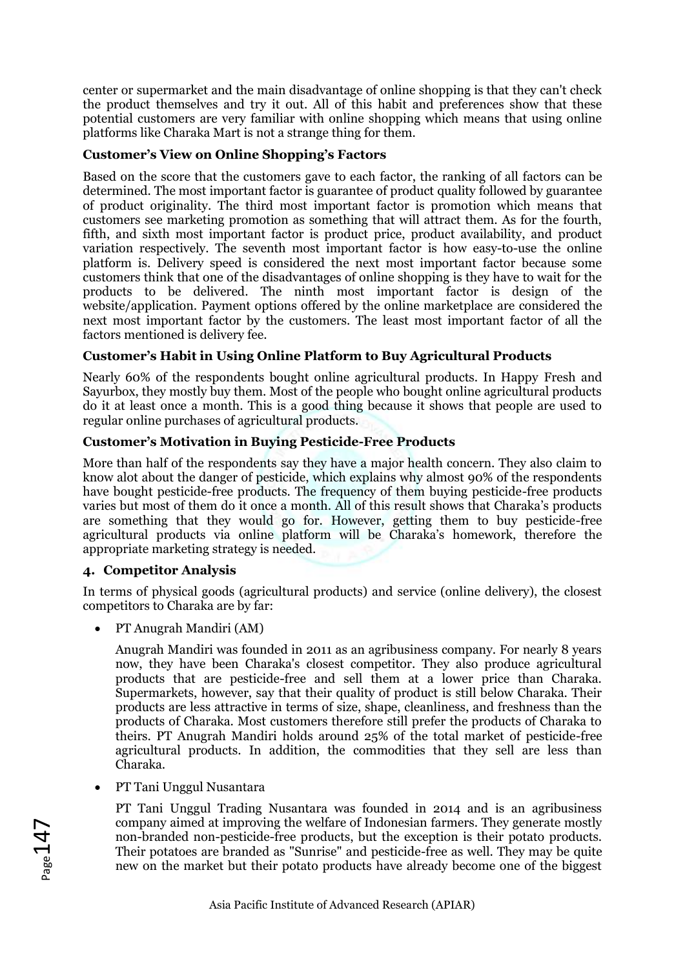center or supermarket and the main disadvantage of online shopping is that they can't check the product themselves and try it out. All of this habit and preferences show that these potential customers are very familiar with online shopping which means that using online platforms like Charaka Mart is not a strange thing for them.

# **Customer's View on Online Shopping's Factors**

Based on the score that the customers gave to each factor, the ranking of all factors can be determined. The most important factor is guarantee of product quality followed by guarantee of product originality. The third most important factor is promotion which means that customers see marketing promotion as something that will attract them. As for the fourth, fifth, and sixth most important factor is product price, product availability, and product variation respectively. The seventh most important factor is how easy-to-use the online platform is. Delivery speed is considered the next most important factor because some customers think that one of the disadvantages of online shopping is they have to wait for the products to be delivered. The ninth most important factor is design of the website/application. Payment options offered by the online marketplace are considered the next most important factor by the customers. The least most important factor of all the factors mentioned is delivery fee.

# **Customer's Habit in Using Online Platform to Buy Agricultural Products**

Nearly 60% of the respondents bought online agricultural products. In Happy Fresh and Sayurbox, they mostly buy them. Most of the people who bought online agricultural products do it at least once a month. This is a good thing because it shows that people are used to regular online purchases of agricultural products.

# **Customer's Motivation in Buying Pesticide-Free Products**

More than half of the respondents say they have a major health concern. They also claim to know alot about the danger of pesticide, which explains why almost 90% of the respondents have bought pesticide-free products. The frequency of them buying pesticide-free products varies but most of them do it once a month. All of this result shows that Charaka's products are something that they would go for. However, getting them to buy pesticide-free agricultural products via online platform will be Charaka's homework, therefore the appropriate marketing strategy is needed.

### **4. Competitor Analysis**

In terms of physical goods (agricultural products) and service (online delivery), the closest competitors to Charaka are by far:

• PT Anugrah Mandiri (AM)

Anugrah Mandiri was founded in 2011 as an agribusiness company. For nearly 8 years now, they have been Charaka's closest competitor. They also produce agricultural products that are pesticide-free and sell them at a lower price than Charaka. Supermarkets, however, say that their quality of product is still below Charaka. Their products are less attractive in terms of size, shape, cleanliness, and freshness than the products of Charaka. Most customers therefore still prefer the products of Charaka to theirs. PT Anugrah Mandiri holds around 25% of the total market of pesticide-free agricultural products. In addition, the commodities that they sell are less than Charaka.

• PT Tani Unggul Nusantara

PT Tani Unggul Trading Nusantara was founded in 2014 and is an agribusiness company aimed at improving the welfare of Indonesian farmers. They generate mostly non-branded non-pesticide-free products, but the exception is their potato products. Their potatoes are branded as "Sunrise" and pesticide-free as well. They may be quite new on the market but their potato products have already become one of the biggest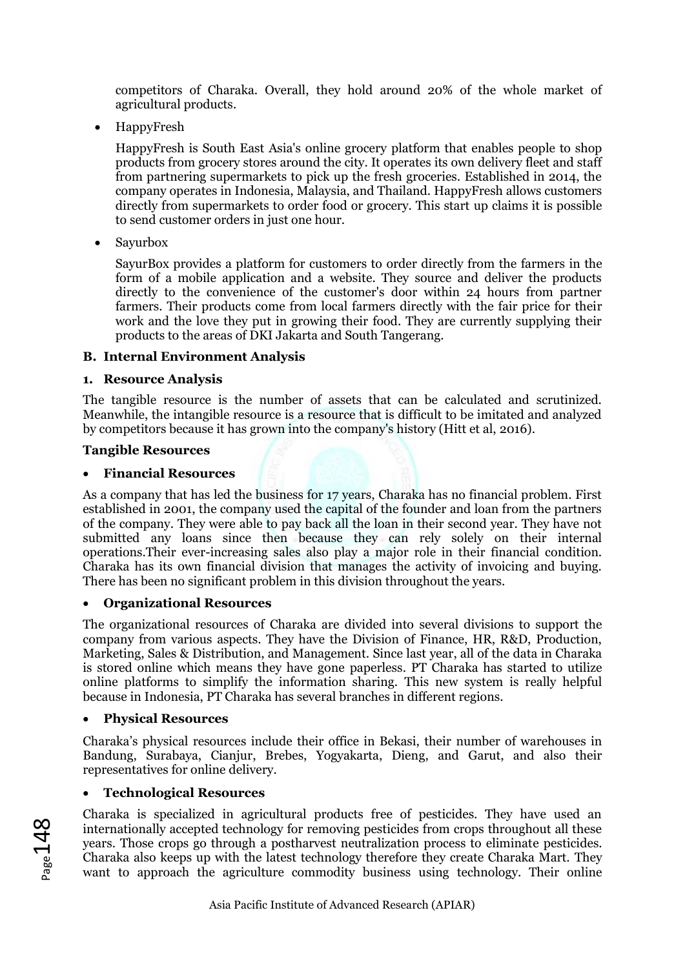competitors of Charaka. Overall, they hold around 20% of the whole market of agricultural products.

• HappyFresh

HappyFresh is South East Asia's online grocery platform that enables people to shop products from grocery stores around the city. It operates its own delivery fleet and staff from partnering supermarkets to pick up the fresh groceries. Established in 2014, the company operates in Indonesia, Malaysia, and Thailand. HappyFresh allows customers directly from supermarkets to order food or grocery. This start up claims it is possible to send customer orders in just one hour.

• Sayurbox

SayurBox provides a platform for customers to order directly from the farmers in the form of a mobile application and a website. They source and deliver the products directly to the convenience of the customer's door within 24 hours from partner farmers. Their products come from local farmers directly with the fair price for their work and the love they put in growing their food. They are currently supplying their products to the areas of DKI Jakarta and South Tangerang.

# **B. Internal Environment Analysis**

# **1. Resource Analysis**

The tangible resource is the number of assets that can be calculated and scrutinized. Meanwhile, the intangible resource is a resource that is difficult to be imitated and analyzed by competitors because it has grown into the company's history (Hitt et al, 2016).

### **Tangible Resources**

# • **Financial Resources**

As a company that has led the business for 17 years, Charaka has no financial problem. First established in 2001, the company used the capital of the founder and loan from the partners of the company. They were able to pay back all the loan in their second year. They have not submitted any loans since then because they can rely solely on their internal operations.Their ever-increasing sales also play a major role in their financial condition. Charaka has its own financial division that manages the activity of invoicing and buying. There has been no significant problem in this division throughout the years.

### • **Organizational Resources**

The organizational resources of Charaka are divided into several divisions to support the company from various aspects. They have the Division of Finance, HR, R&D, Production, Marketing, Sales & Distribution, and Management. Since last year, all of the data in Charaka is stored online which means they have gone paperless. PT Charaka has started to utilize online platforms to simplify the information sharing. This new system is really helpful because in Indonesia, PT Charaka has several branches in different regions.

### • **Physical Resources**

Charaka's physical resources include their office in Bekasi, their number of warehouses in Bandung, Surabaya, Cianjur, Brebes, Yogyakarta, Dieng, and Garut, and also their representatives for online delivery.

# • **Technological Resources**

Charaka is specialized in agricultural products free of pesticides. They have used an internationally accepted technology for removing pesticides from crops throughout all these years. Those crops go through a postharvest neutralization process to eliminate pesticides. Charaka also keeps up with the latest technology therefore they create Charaka Mart. They want to approach the agriculture commodity business using technology. Their online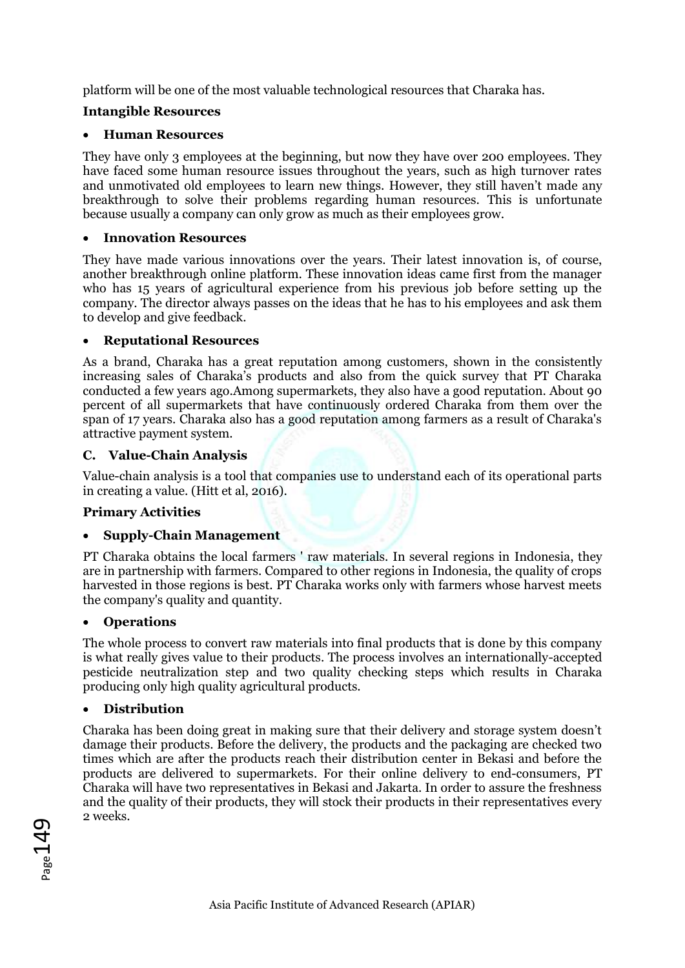platform will be one of the most valuable technological resources that Charaka has.

# **Intangible Resources**

# • **Human Resources**

They have only 3 employees at the beginning, but now they have over 200 employees. They have faced some human resource issues throughout the years, such as high turnover rates and unmotivated old employees to learn new things. However, they still haven't made any breakthrough to solve their problems regarding human resources. This is unfortunate because usually a company can only grow as much as their employees grow.

# • **Innovation Resources**

They have made various innovations over the years. Their latest innovation is, of course, another breakthrough online platform. These innovation ideas came first from the manager who has 15 years of agricultural experience from his previous job before setting up the company. The director always passes on the ideas that he has to his employees and ask them to develop and give feedback.

# • **Reputational Resources**

As a brand, Charaka has a great reputation among customers, shown in the consistently increasing sales of Charaka's products and also from the quick survey that PT Charaka conducted a few years ago.Among supermarkets, they also have a good reputation. About 90 percent of all supermarkets that have continuously ordered Charaka from them over the span of 17 years. Charaka also has a good reputation among farmers as a result of Charaka's attractive payment system.

# **C. Value-Chain Analysis**

Value-chain analysis is a tool that companies use to understand each of its operational parts in creating a value. (Hitt et al, 2016).

# **Primary Activities**

# • **Supply-Chain Management**

PT Charaka obtains the local farmers ' raw materials. In several regions in Indonesia, they are in partnership with farmers. Compared to other regions in Indonesia, the quality of crops harvested in those regions is best. PT Charaka works only with farmers whose harvest meets the company's quality and quantity.

# • **Operations**

The whole process to convert raw materials into final products that is done by this company is what really gives value to their products. The process involves an internationally-accepted pesticide neutralization step and two quality checking steps which results in Charaka producing only high quality agricultural products.

# • **Distribution**

Charaka has been doing great in making sure that their delivery and storage system doesn't damage their products. Before the delivery, the products and the packaging are checked two times which are after the products reach their distribution center in Bekasi and before the products are delivered to supermarkets. For their online delivery to end-consumers, PT Charaka will have two representatives in Bekasi and Jakarta. In order to assure the freshness and the quality of their products, they will stock their products in their representatives every 2 weeks.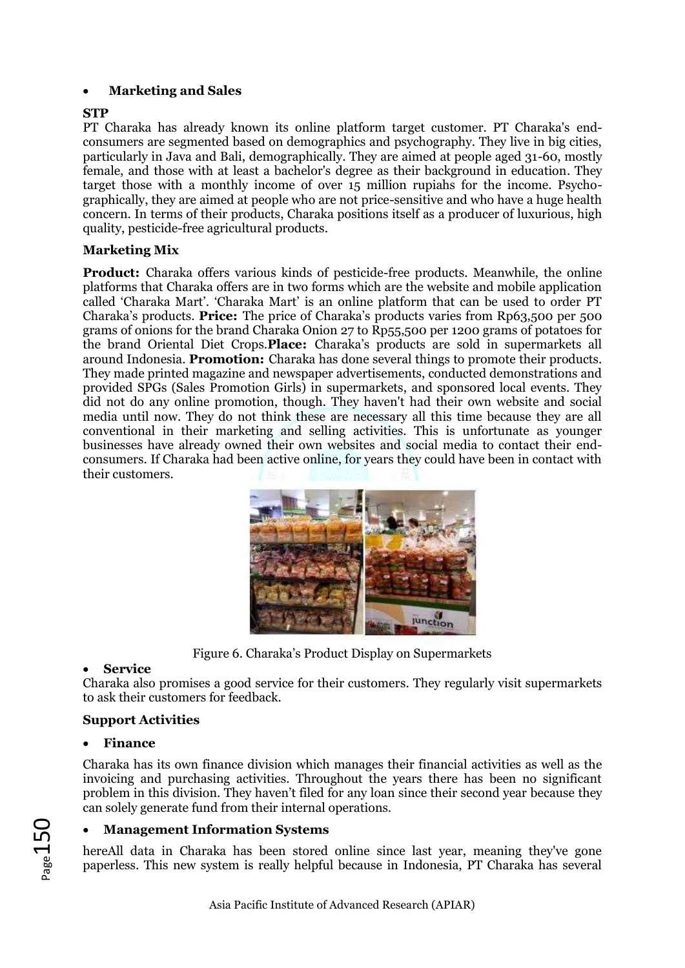# • **Marketing and Sales**

### **STP**

PT Charaka has already known its online platform target customer. PT Charaka's endconsumers are segmented based on demographics and psychography. They live in big cities, particularly in Java and Bali, demographically. They are aimed at people aged 31-60, mostly female, and those with at least a bachelor's degree as their background in education. They target those with a monthly income of over 15 million rupiahs for the income. Psychographically, they are aimed at people who are not price-sensitive and who have a huge health concern. In terms of their products, Charaka positions itself as a producer of luxurious, high quality, pesticide-free agricultural products.

# **Marketing Mix**

**Product:** Charaka offers various kinds of pesticide-free products. Meanwhile, the online platforms that Charaka offers are in two forms which are the website and mobile application called 'Charaka Mart'. 'Charaka Mart' is an online platform that can be used to order PT Charaka's products. **Price:** The price of Charaka's products varies from Rp63,500 per 500 grams of onions for the brand Charaka Onion 27 to Rp55,500 per 1200 grams of potatoes for the brand Oriental Diet Crops.**Place:** Charaka's products are sold in supermarkets all around Indonesia. **Promotion:** Charaka has done several things to promote their products. They made printed magazine and newspaper advertisements, conducted demonstrations and provided SPGs (Sales Promotion Girls) in supermarkets, and sponsored local events. They did not do any online promotion, though. They haven't had their own website and social media until now. They do not think these are necessary all this time because they are all conventional in their marketing and selling activities. This is unfortunate as younger businesses have already owned their own websites and social media to contact their endconsumers. If Charaka had been active online, for years they could have been in contact with their customers.



Figure 6. Charaka's Product Display on Supermarkets

### • **Service**

Charaka also promises a good service for their customers. They regularly visit supermarkets to ask their customers for feedback.

### **Support Activities**

### • **Finance**

Charaka has its own finance division which manages their financial activities as well as the invoicing and purchasing activities. Throughout the years there has been no significant problem in this division. They haven't filed for any loan since their second year because they can solely generate fund from their internal operations.

### • **Management Information Systems**

hereAll data in Charaka has been stored online since last year, meaning they've gone paperless. This new system is really helpful because in Indonesia, PT Charaka has several

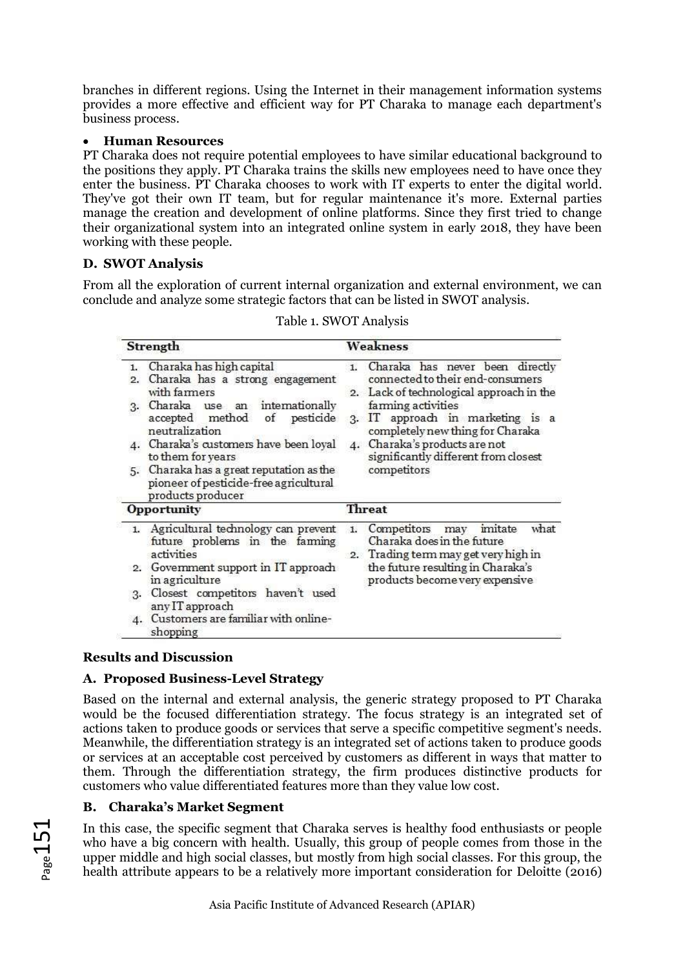branches in different regions. Using the Internet in their management information systems provides a more effective and efficient way for PT Charaka to manage each department's business process.

### • **Human Resources**

PT Charaka does not require potential employees to have similar educational background to the positions they apply. PT Charaka trains the skills new employees need to have once they enter the business. PT Charaka chooses to work with IT experts to enter the digital world. They've got their own IT team, but for regular maintenance it's more. External parties manage the creation and development of online platforms. Since they first tried to change their organizational system into an integrated online system in early 2018, they have been working with these people.

# **D. SWOT Analysis**

From all the exploration of current internal organization and external environment, we can conclude and analyze some strategic factors that can be listed in SWOT analysis.

| Strength                                                                                                                                                                                                                                                                                                                                                       | Weakness                                                                                                                                                                                                                                                                                                                         |
|----------------------------------------------------------------------------------------------------------------------------------------------------------------------------------------------------------------------------------------------------------------------------------------------------------------------------------------------------------------|----------------------------------------------------------------------------------------------------------------------------------------------------------------------------------------------------------------------------------------------------------------------------------------------------------------------------------|
| Charaka has high capital<br>1.<br>Charaka has a strong engagement<br>2.<br>with farmers<br>Charaka use an internationally<br>3.<br>accepted method of<br>pesticide<br>neutralization<br>4. Charaka's customers have been loyal<br>to them for years<br>5. Charaka has a great reputation as the<br>pioneer of pesticide-free agricultural<br>products producer | Charaka has never been directly<br>$\mathbf{1}$ .<br>connected to their end-consumers<br>Lack of technological approach in the<br>2.<br>farming activities<br>IT approach in marketing is a<br>3.<br>completely new thing for Charaka<br>Charaka's products are not<br>4.<br>significantly different from closest<br>competitors |
| <b>Opportunity</b>                                                                                                                                                                                                                                                                                                                                             | Threat                                                                                                                                                                                                                                                                                                                           |
| 1. Agricultural technology can prevent<br>future problems in the faming<br>activities<br>2. Government support in IT approach<br>in agriculture<br>Closest competitors haven't used<br>3.<br>any IT approach<br>Customers are familiar with online-<br>4.<br>shopping                                                                                          | imitate<br>what<br>Competitors<br>may<br>1.<br>Charaka does in the future<br>2. Trading term may get very high in<br>the future resulting in Charaka's<br>products become very expensive                                                                                                                                         |

### Table 1. SWOT Analysis

# **Results and Discussion**

# **A. Proposed Business-Level Strategy**

Based on the internal and external analysis, the generic strategy proposed to PT Charaka would be the focused differentiation strategy. The focus strategy is an integrated set of actions taken to produce goods or services that serve a specific competitive segment's needs. Meanwhile, the differentiation strategy is an integrated set of actions taken to produce goods or services at an acceptable cost perceived by customers as different in ways that matter to them. Through the differentiation strategy, the firm produces distinctive products for customers who value differentiated features more than they value low cost.

# **B. Charaka's Market Segment**

In this case, the specific segment that Charaka serves is healthy food enthusiasts or people who have a big concern with health. Usually, this group of people comes from those in the upper middle and high social classes, but mostly from high social classes. For this group, the health attribute appears to be a relatively more important consideration for Deloitte (2016)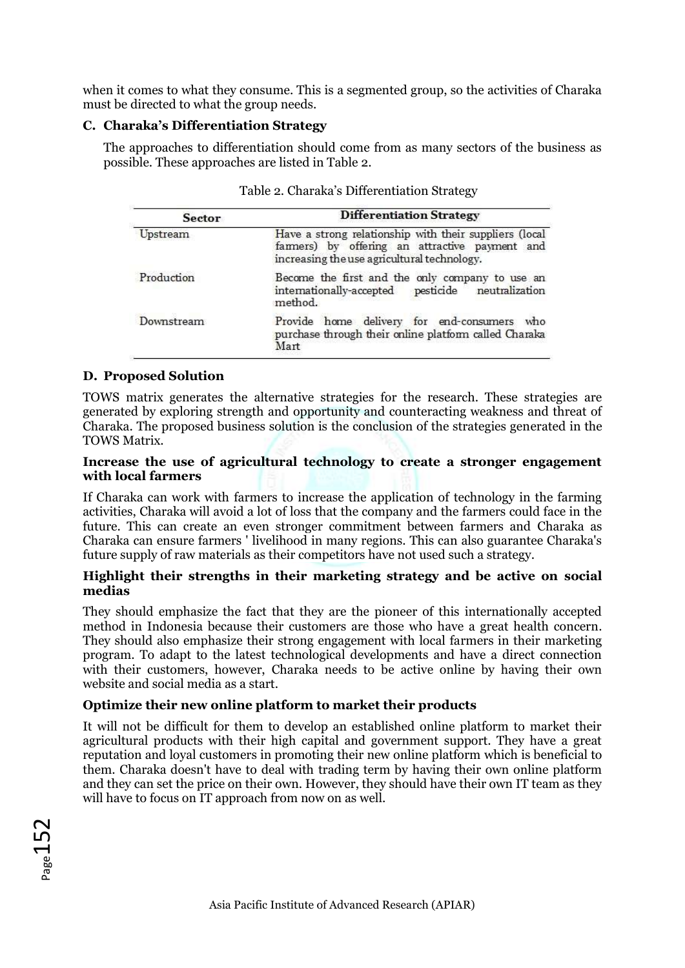when it comes to what they consume. This is a segmented group, so the activities of Charaka must be directed to what the group needs.

#### **C. Charaka's Differentiation Strategy**

The approaches to differentiation should come from as many sectors of the business as possible. These approaches are listed in Table 2.

| <b>Sector</b> | <b>Differentiation Strategy</b>                                                                                                                         |  |
|---------------|---------------------------------------------------------------------------------------------------------------------------------------------------------|--|
| Upstream      | Have a strong relationship with their suppliers (local<br>farmers) by offering an attractive payment and<br>increasing the use agricultural technology. |  |
| Production    | Become the first and the only company to use an<br>internationally-accepted pesticide neutralization<br>method.                                         |  |
| Downstream    | Provide home delivery for end-consumers who<br>purchase through their online platform called Charaka<br>Mart                                            |  |

#### Table 2. Charaka's Differentiation Strategy

#### **D. Proposed Solution**

TOWS matrix generates the alternative strategies for the research. These strategies are generated by exploring strength and opportunity and counteracting weakness and threat of Charaka. The proposed business solution is the conclusion of the strategies generated in the TOWS Matrix.

#### **Increase the use of agricultural technology to create a stronger engagement with local farmers**

If Charaka can work with farmers to increase the application of technology in the farming activities, Charaka will avoid a lot of loss that the company and the farmers could face in the future. This can create an even stronger commitment between farmers and Charaka as Charaka can ensure farmers ' livelihood in many regions. This can also guarantee Charaka's future supply of raw materials as their competitors have not used such a strategy.

#### **Highlight their strengths in their marketing strategy and be active on social medias**

They should emphasize the fact that they are the pioneer of this internationally accepted method in Indonesia because their customers are those who have a great health concern. They should also emphasize their strong engagement with local farmers in their marketing program. To adapt to the latest technological developments and have a direct connection with their customers, however, Charaka needs to be active online by having their own website and social media as a start.

### **Optimize their new online platform to market their products**

It will not be difficult for them to develop an established online platform to market their agricultural products with their high capital and government support. They have a great reputation and loyal customers in promoting their new online platform which is beneficial to them. Charaka doesn't have to deal with trading term by having their own online platform and they can set the price on their own. However, they should have their own IT team as they will have to focus on IT approach from now on as well.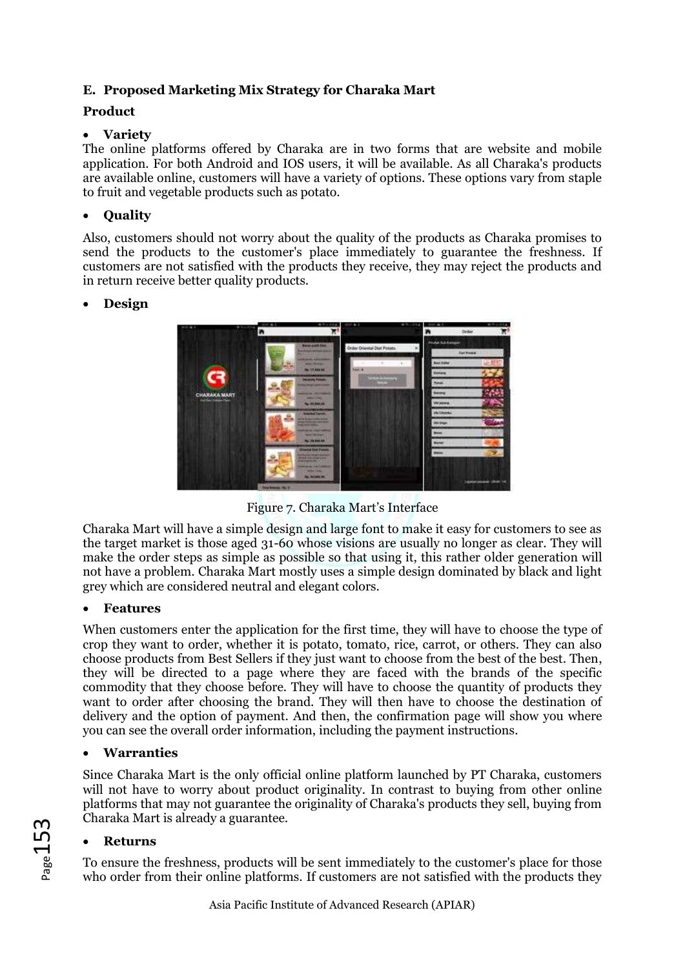# **E. Proposed Marketing Mix Strategy for Charaka Mart**

# **Product**

# • **Variety**

The online platforms offered by Charaka are in two forms that are website and mobile application. For both Android and IOS users, it will be available. As all Charaka's products are available online, customers will have a variety of options. These options vary from staple to fruit and vegetable products such as potato.

# • **Quality**

Also, customers should not worry about the quality of the products as Charaka promises to send the products to the customer's place immediately to guarantee the freshness. If customers are not satisfied with the products they receive, they may reject the products and in return receive better quality products.

# • **Design**



Figure 7. Charaka Mart's Interface

Charaka Mart will have a simple design and large font to make it easy for customers to see as the target market is those aged 31-60 whose visions are usually no longer as clear. They will make the order steps as simple as possible so that using it, this rather older generation will not have a problem. Charaka Mart mostly uses a simple design dominated by black and light grey which are considered neutral and elegant colors.

### • **Features**

When customers enter the application for the first time, they will have to choose the type of crop they want to order, whether it is potato, tomato, rice, carrot, or others. They can also choose products from Best Sellers if they just want to choose from the best of the best. Then, they will be directed to a page where they are faced with the brands of the specific commodity that they choose before. They will have to choose the quantity of products they want to order after choosing the brand. They will then have to choose the destination of delivery and the option of payment. And then, the confirmation page will show you where you can see the overall order information, including the payment instructions.

# • **Warranties**

Since Charaka Mart is the only official online platform launched by PT Charaka, customers will not have to worry about product originality. In contrast to buying from other online platforms that may not guarantee the originality of Charaka's products they sell, buying from Charaka Mart is already a guarantee.

# • **Returns**

To ensure the freshness, products will be sent immediately to the customer's place for those who order from their online platforms. If customers are not satisfied with the products they

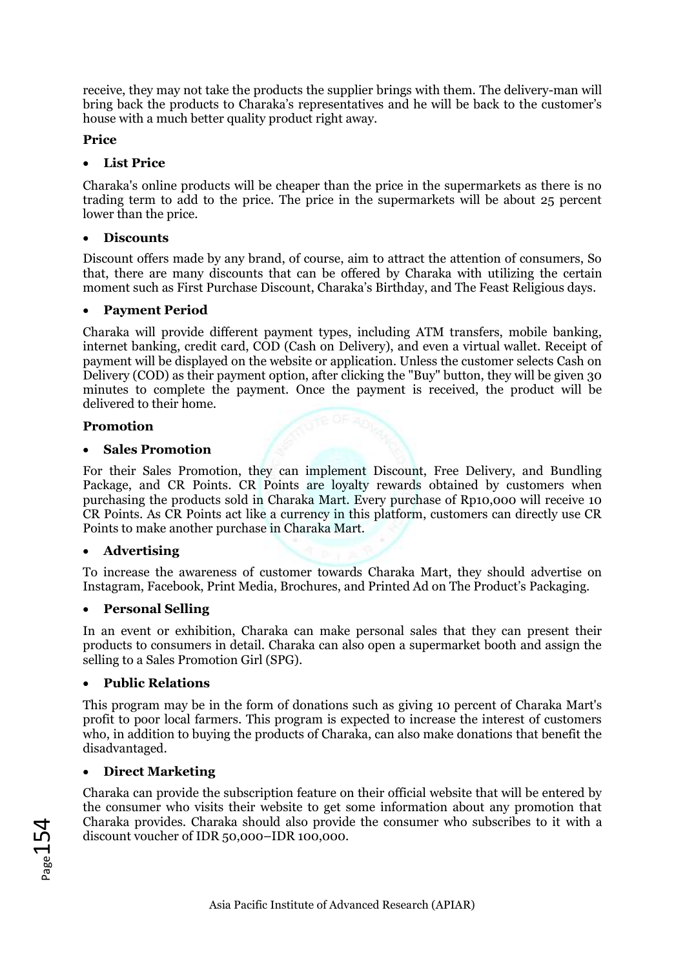receive, they may not take the products the supplier brings with them. The delivery-man will bring back the products to Charaka's representatives and he will be back to the customer's house with a much better quality product right away.

# **Price**

# • **List Price**

Charaka's online products will be cheaper than the price in the supermarkets as there is no trading term to add to the price. The price in the supermarkets will be about 25 percent lower than the price.

# • **Discounts**

Discount offers made by any brand, of course, aim to attract the attention of consumers, So that, there are many discounts that can be offered by Charaka with utilizing the certain moment such as First Purchase Discount, Charaka's Birthday, and The Feast Religious days.

# • **Payment Period**

Charaka will provide different payment types, including ATM transfers, mobile banking, internet banking, credit card, COD (Cash on Delivery), and even a virtual wallet. Receipt of payment will be displayed on the website or application. Unless the customer selects Cash on Delivery (COD) as their payment option, after clicking the "Buy" button, they will be given 30 minutes to complete the payment. Once the payment is received, the product will be delivered to their home.

# **Promotion**

# • **Sales Promotion**

For their Sales Promotion, they can implement Discount, Free Delivery, and Bundling Package, and CR Points. CR Points are loyalty rewards obtained by customers when purchasing the products sold in Charaka Mart. Every purchase of Rp10,000 will receive 10 CR Points. As CR Points act like a currency in this platform, customers can directly use CR Points to make another purchase in Charaka Mart.

# • **Advertising**

To increase the awareness of customer towards Charaka Mart, they should advertise on Instagram, Facebook, Print Media, Brochures, and Printed Ad on The Product's Packaging.

### • **Personal Selling**

In an event or exhibition, Charaka can make personal sales that they can present their products to consumers in detail. Charaka can also open a supermarket booth and assign the selling to a Sales Promotion Girl (SPG).

### • **Public Relations**

This program may be in the form of donations such as giving 10 percent of Charaka Mart's profit to poor local farmers. This program is expected to increase the interest of customers who, in addition to buying the products of Charaka, can also make donations that benefit the disadvantaged.

# • **Direct Marketing**

Charaka can provide the subscription feature on their official website that will be entered by the consumer who visits their website to get some information about any promotion that Charaka provides. Charaka should also provide the consumer who subscribes to it with a discount voucher of IDR 50,000–IDR 100,000.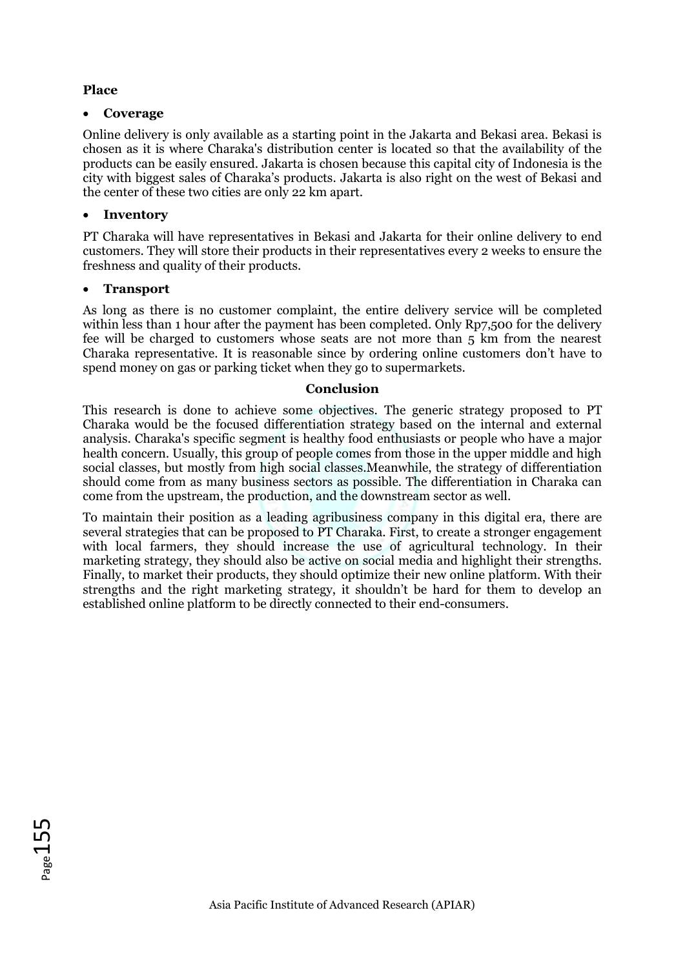# **Place**

### • **Coverage**

Online delivery is only available as a starting point in the Jakarta and Bekasi area. Bekasi is chosen as it is where Charaka's distribution center is located so that the availability of the products can be easily ensured. Jakarta is chosen because this capital city of Indonesia is the city with biggest sales of Charaka's products. Jakarta is also right on the west of Bekasi and the center of these two cities are only 22 km apart.

# • **Inventory**

PT Charaka will have representatives in Bekasi and Jakarta for their online delivery to end customers. They will store their products in their representatives every 2 weeks to ensure the freshness and quality of their products.

# • **Transport**

As long as there is no customer complaint, the entire delivery service will be completed within less than 1 hour after the payment has been completed. Only Rp7,500 for the delivery fee will be charged to customers whose seats are not more than 5 km from the nearest Charaka representative. It is reasonable since by ordering online customers don't have to spend money on gas or parking ticket when they go to supermarkets.

### **Conclusion**

This research is done to achieve some objectives. The generic strategy proposed to PT Charaka would be the focused differentiation strategy based on the internal and external analysis. Charaka's specific segment is healthy food enthusiasts or people who have a major health concern. Usually, this group of people comes from those in the upper middle and high social classes, but mostly from high social classes.Meanwhile, the strategy of differentiation should come from as many business sectors as possible. The differentiation in Charaka can come from the upstream, the production, and the downstream sector as well.

To maintain their position as a leading agribusiness company in this digital era, there are several strategies that can be proposed to PT Charaka. First, to create a stronger engagement with local farmers, they should increase the use of agricultural technology. In their marketing strategy, they should also be active on social media and highlight their strengths. Finally, to market their products, they should optimize their new online platform. With their strengths and the right marketing strategy, it shouldn't be hard for them to develop an established online platform to be directly connected to their end-consumers.